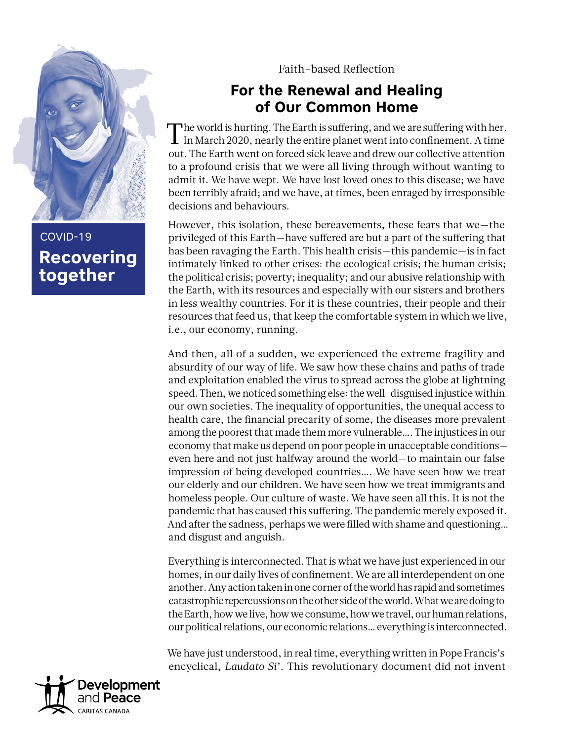

**Recovering together** COVID-19

Faith-based Reflection

## **For the Renewal and Healing of Our Common Home**

The world is hurting. The Earth is suffering, and we are suffering with her. In March 2020, nearly the entire planet went into confinement. A time out. The Earth went on forced sick leave and drew our collective attention to a profound crisis that we were all living through without wanting to admit it. We have wept. We have lost loved ones to this disease; we have been terribly afraid; and we have, at times, been enraged by irresponsible decisions and behaviours.

However, this isolation, these bereavements, these fears that we—the privileged of this Earth—have suffered are but a part of the suffering that has been ravaging the Earth. This health crisis—this pandemic—is in fact intimately linked to other crises: the ecological crisis; the human crisis; the political crisis; poverty; inequality; and our abusive relationship with the Earth, with its resources and especially with our sisters and brothers in less wealthy countries. For it is these countries, their people and their resources that feed us, that keep the comfortable system in which we live, i.e., our economy, running.

And then, all of a sudden, we experienced the extreme fragility and absurdity of our way of life. We saw how these chains and paths of trade and exploitation enabled the virus to spread across the globe at lightning speed. Then, we noticed something else: the well-disguised injustice within our own societies. The inequality of opportunities, the unequal access to health care, the financial precarity of some, the diseases more prevalent among the poorest that made them more vulnerable…. The injustices in our economy that make us depend on poor people in unacceptable conditions even here and not just halfway around the world—to maintain our false impression of being developed countries…. We have seen how we treat our elderly and our children. We have seen how we treat immigrants and homeless people. Our culture of waste. We have seen all this. It is not the pandemic that has caused this suffering. The pandemic merely exposed it. And after the sadness, perhaps we were filled with shame and questioning… and disgust and anguish.

Everything is interconnected. That is what we have just experienced in our homes, in our daily lives of confinement. We are all interdependent on one another. Any action taken in one corner of the world has rapid and sometimes catastrophic repercussions on the other side of the world. What we are doing to the Earth, how we live, how we consume, how we travel, our human relations, our political relations, our economic relations… everything is interconnected.

We have just understood, in real time, everything written in Pope Francis's encyclical, *Laudato Si'*. This revolutionary document did not invent